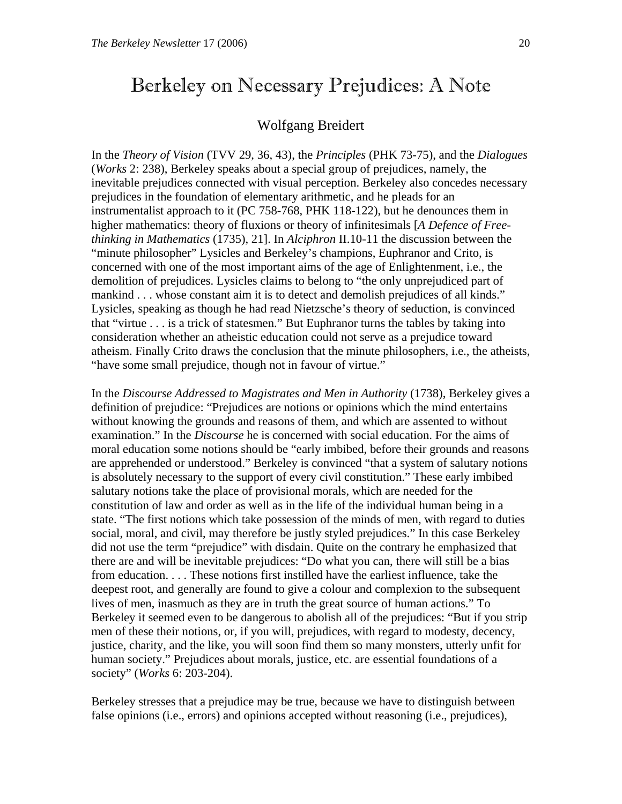## Berkeley on Necessary Prejudices: A Note

## Wolfgang Breidert

In the *Theory of Vision* (TVV 29, 36, 43), the *Principles* (PHK 73-75), and the *Dialogues* (*Works* 2: 238), Berkeley speaks about a special group of prejudices, namely, the inevitable prejudices connected with visual perception. Berkeley also concedes necessary prejudices in the foundation of elementary arithmetic, and he pleads for an instrumentalist approach to it (PC 758-768, PHK 118-122), but he denounces them in higher mathematics: theory of fluxions or theory of infinitesimals [*A Defence of Freethinking in Mathematics* (1735), 21]. In *Alciphron* II.10-11 the discussion between the "minute philosopher" Lysicles and Berkeley's champions, Euphranor and Crito, is concerned with one of the most important aims of the age of Enlightenment, i.e., the demolition of prejudices. Lysicles claims to belong to "the only unprejudiced part of mankind . . . whose constant aim it is to detect and demolish prejudices of all kinds." Lysicles, speaking as though he had read Nietzsche's theory of seduction, is convinced that "virtue . . . is a trick of statesmen." But Euphranor turns the tables by taking into consideration whether an atheistic education could not serve as a prejudice toward atheism. Finally Crito draws the conclusion that the minute philosophers, i.e., the atheists, "have some small prejudice, though not in favour of virtue."

In the *Discourse Addressed to Magistrates and Men in Authority* (1738), Berkeley gives a definition of prejudice: "Prejudices are notions or opinions which the mind entertains without knowing the grounds and reasons of them, and which are assented to without examination." In the *Discourse* he is concerned with social education. For the aims of moral education some notions should be "early imbibed, before their grounds and reasons are apprehended or understood." Berkeley is convinced "that a system of salutary notions is absolutely necessary to the support of every civil constitution." These early imbibed salutary notions take the place of provisional morals, which are needed for the constitution of law and order as well as in the life of the individual human being in a state. "The first notions which take possession of the minds of men, with regard to duties social, moral, and civil, may therefore be justly styled prejudices." In this case Berkeley did not use the term "prejudice" with disdain. Quite on the contrary he emphasized that there are and will be inevitable prejudices: "Do what you can, there will still be a bias from education. . . . These notions first instilled have the earliest influence, take the deepest root, and generally are found to give a colour and complexion to the subsequent lives of men, inasmuch as they are in truth the great source of human actions." To Berkeley it seemed even to be dangerous to abolish all of the prejudices: "But if you strip men of these their notions, or, if you will, prejudices, with regard to modesty, decency, justice, charity, and the like, you will soon find them so many monsters, utterly unfit for human society." Prejudices about morals, justice, etc. are essential foundations of a society" (*Works* 6: 203-204).

Berkeley stresses that a prejudice may be true, because we have to distinguish between false opinions (i.e., errors) and opinions accepted without reasoning (i.e., prejudices),